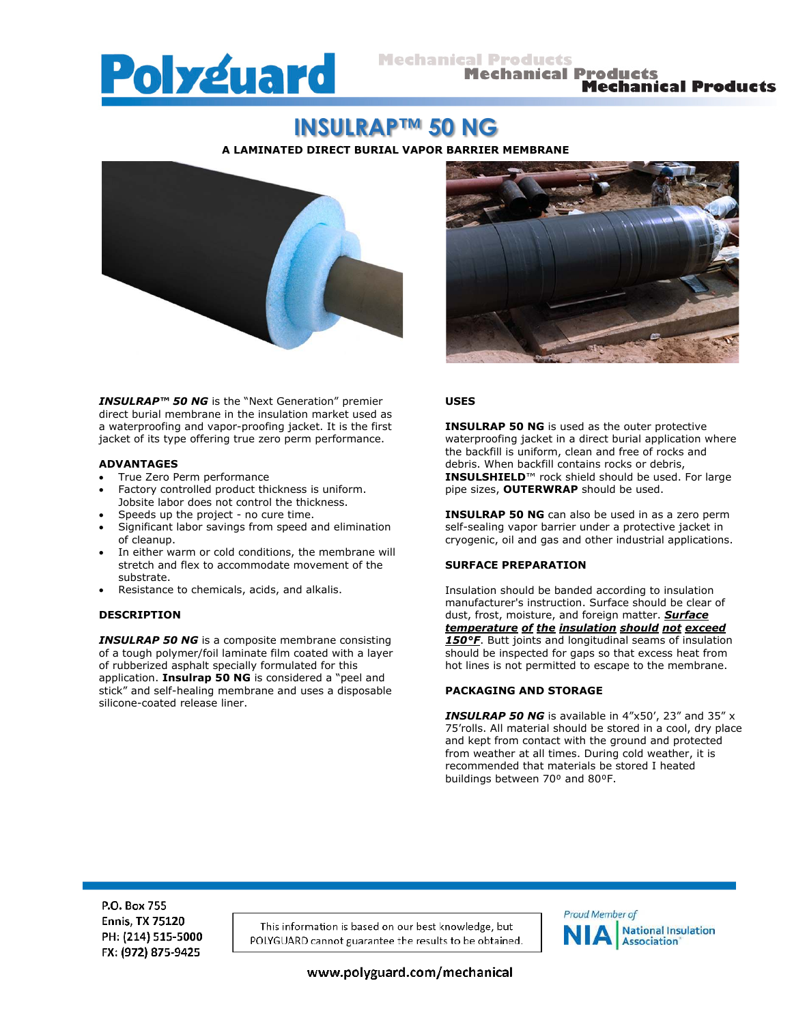

**Mechanical Products** 

# **INSULRAP™ 50 NG**

**A LAMINATED DIRECT BURIAL VAPOR BARRIER MEMBRANE**



*INSULRAP™ 50 NG* is the "Next Generation" premier direct burial membrane in the insulation market used as a waterproofing and vapor-proofing jacket. It is the first jacket of its type offering true zero perm performance.

#### **ADVANTAGES**

- True Zero Perm performance
- Factory controlled product thickness is uniform. Jobsite labor does not control the thickness.
- Speeds up the project no cure time.
- Significant labor savings from speed and elimination of cleanup.
- In either warm or cold conditions, the membrane will stretch and flex to accommodate movement of the substrate.
- Resistance to chemicals, acids, and alkalis.

# **DESCRIPTION**

*INSULRAP 50 NG* is a composite membrane consisting of a tough polymer/foil laminate film coated with a layer of rubberized asphalt specially formulated for this application. **Insulrap 50 NG** is considered a "peel and stick" and self-healing membrane and uses a disposable silicone-coated release liner.



# **USES**

**INSULRAP 50 NG** is used as the outer protective waterproofing jacket in a direct burial application where the backfill is uniform, clean and free of rocks and debris. When backfill contains rocks or debris, **INSULSHIELD**™ rock shield should be used. For large pipe sizes, **OUTERWRAP** should be used.

**INSULRAP 50 NG** can also be used in as a zero perm self-sealing vapor barrier under a protective jacket in cryogenic, oil and gas and other industrial applications.

#### **SURFACE PREPARATION**

Insulation should be banded according to insulation manufacturer's instruction. Surface should be clear of dust, frost, moisture, and foreign matter. *Surface temperature of the insulation should not exceed 150°F*. Butt joints and longitudinal seams of insulation should be inspected for gaps so that excess heat from hot lines is not permitted to escape to the membrane.

# **PACKAGING AND STORAGE**

*INSULRAP 50 NG* is available in 4"x50', 23" and 35" x 75'rolls. All material should be stored in a cool, dry place and kept from contact with the ground and protected from weather at all times. During cold weather, it is recommended that materials be stored I heated buildings between 70<sup>°</sup> and 80<sup>°</sup>F.

P.O. Box 755 **Ennis, TX 75120** PH: (214) 515-5000 FX: (972) 875-9425

This information is based on our best knowledge, but POLYGUARD cannot guarantee the results to be obtained.